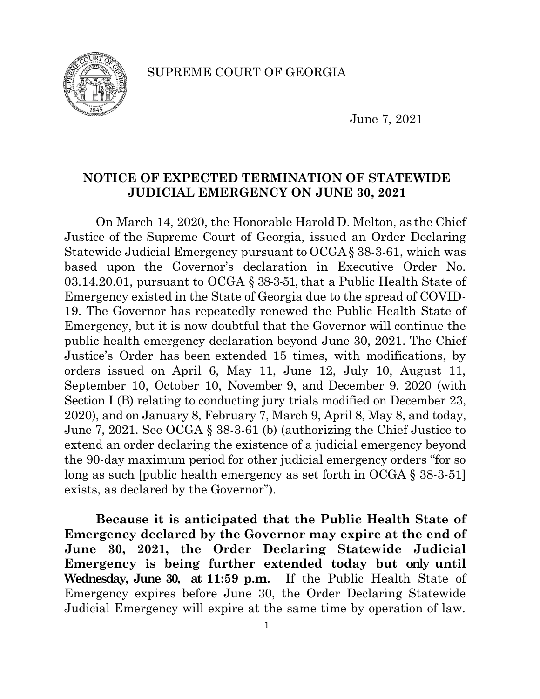SUPREME COURT OF GEORGIA



June 7, 2021

# **NOTICE OF EXPECTED TERMINATION OF STATEWIDE JUDICIAL EMERGENCY ON JUNE 30, 2021**

On March 14, 2020, the Honorable Harold D. Melton, as the Chief Justice of the Supreme Court of Georgia, issued an Order Declaring Statewide Judicial Emergency pursuant to OCGA§ 38-3-61, which was based upon the Governor's declaration in Executive Order No. 03.14.20.01, pursuant to OCGA § 38-3-51, that a Public Health State of Emergency existed in the State of Georgia due to the spread of COVID-19. The Governor has repeatedly renewed the Public Health State of Emergency, but it is now doubtful that the Governor will continue the public health emergency declaration beyond June 30, 2021. The Chief Justice's Order has been extended 15 times, with modifications, by orders issued on April 6, May 11, June 12, July 10, August 11, September 10, October 10, November 9, and December 9, 2020 (with Section I (B) relating to conducting jury trials modified on December 23, 2020), and on January 8, February 7, March 9, April 8, May 8, and today, June 7, 2021. See OCGA § 38-3-61 (b) (authorizing the Chief Justice to extend an order declaring the existence of a judicial emergency beyond the 90-day maximum period for other judicial emergency orders "for so long as such [public health emergency as set forth in OCGA § 38-3-51] exists, as declared by the Governor").

**Because it is anticipated that the Public Health State of Emergency declared by the Governor may expire at the end of June 30, 2021, the Order Declaring Statewide Judicial Emergency is being further extended today but only until Wednesday, June 30, at 11:59 p.m.** If the Public Health State of Emergency expires before June 30, the Order Declaring Statewide Judicial Emergency will expire at the same time by operation of law.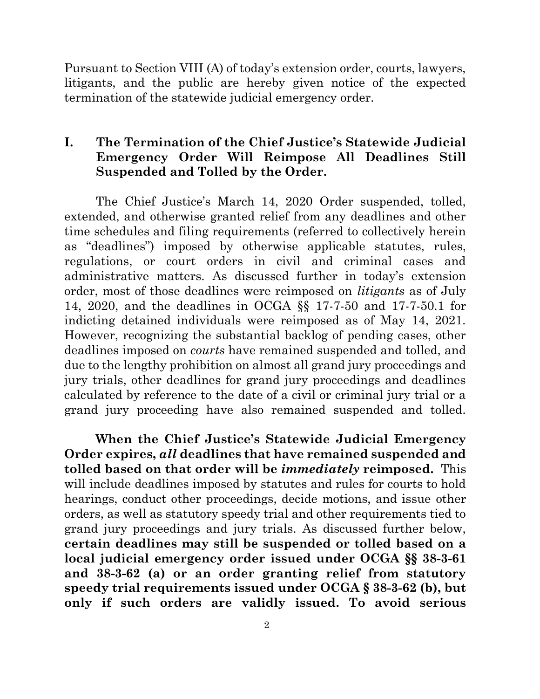Pursuant to Section VIII (A) of today's extension order, courts, lawyers, litigants, and the public are hereby given notice of the expected termination of the statewide judicial emergency order.

## **I. The Termination of the Chief Justice's Statewide Judicial Emergency Order Will Reimpose All Deadlines Still Suspended and Tolled by the Order.**

The Chief Justice's March 14, 2020 Order suspended, tolled, extended, and otherwise granted relief from any deadlines and other time schedules and filing requirements (referred to collectively herein as "deadlines") imposed by otherwise applicable statutes, rules, regulations, or court orders in civil and criminal cases and administrative matters. As discussed further in today's extension order, most of those deadlines were reimposed on *litigants* as of July 14, 2020, and the deadlines in OCGA §§ 17-7-50 and 17-7-50.1 for indicting detained individuals were reimposed as of May 14, 2021. However, recognizing the substantial backlog of pending cases, other deadlines imposed on *courts* have remained suspended and tolled, and due to the lengthy prohibition on almost all grand jury proceedings and jury trials, other deadlines for grand jury proceedings and deadlines calculated by reference to the date of a civil or criminal jury trial or a grand jury proceeding have also remained suspended and tolled.

**When the Chief Justice's Statewide Judicial Emergency Order expires,** *all* **deadlines that have remained suspended and tolled based on that order will be** *immediately* **reimposed.** This will include deadlines imposed by statutes and rules for courts to hold hearings, conduct other proceedings, decide motions, and issue other orders, as well as statutory speedy trial and other requirements tied to grand jury proceedings and jury trials. As discussed further below, **certain deadlines may still be suspended or tolled based on a local judicial emergency order issued under OCGA §§ 38-3-61 and 38-3-62 (a) or an order granting relief from statutory speedy trial requirements issued under OCGA § 38-3-62 (b), but only if such orders are validly issued. To avoid serious**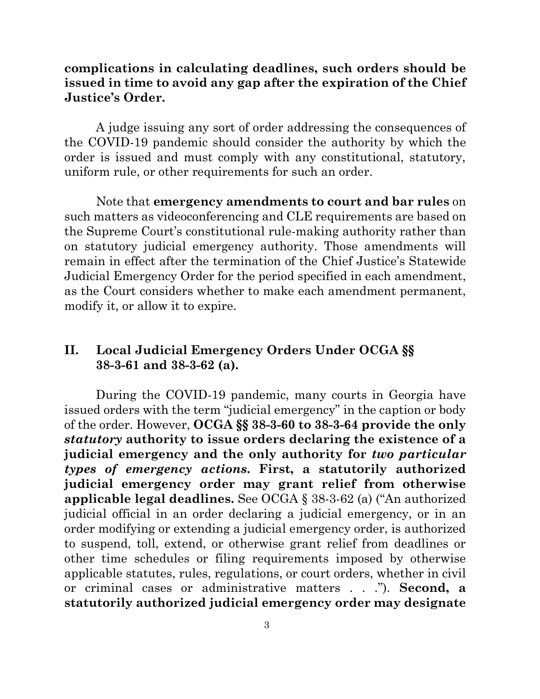### **complications in calculating deadlines, such orders should be issued in time to avoid any gap after the expiration of the Chief Justice's Order.**

A judge issuing any sort of order addressing the consequences of the COVID-19 pandemic should consider the authority by which the order is issued and must comply with any constitutional, statutory, uniform rule, or other requirements for such an order.

Note that **emergency amendments to court and bar rules** on such matters as videoconferencing and CLE requirements are based on the Supreme Court's constitutional rule-making authority rather than on statutory judicial emergency authority. Those amendments will remain in effect after the termination of the Chief Justice's Statewide Judicial Emergency Order for the period specified in each amendment, as the Court considers whether to make each amendment permanent, modify it, or allow it to expire.

# **II. Local Judicial Emergency Orders Under OCGA §§ 38-3-61 and 38-3-62 (a).**

During the COVID-19 pandemic, many courts in Georgia have issued orders with the term "judicial emergency" in the caption or body of the order. However, **OCGA §§ 38-3-60 to 38-3-64 provide the only**  *statutory* **authority to issue orders declaring the existence of a judicial emergency and the only authority for** *two particular types of emergency actions***. First, a statutorily authorized judicial emergency order may grant relief from otherwise applicable legal deadlines.** See OCGA § 38-3-62 (a) ("An authorized judicial official in an order declaring a judicial emergency, or in an order modifying or extending a judicial emergency order, is authorized to suspend, toll, extend, or otherwise grant relief from deadlines or other time schedules or filing requirements imposed by otherwise applicable statutes, rules, regulations, or court orders, whether in civil or criminal cases or administrative matters . . ."). **Second, a statutorily authorized judicial emergency order may designate**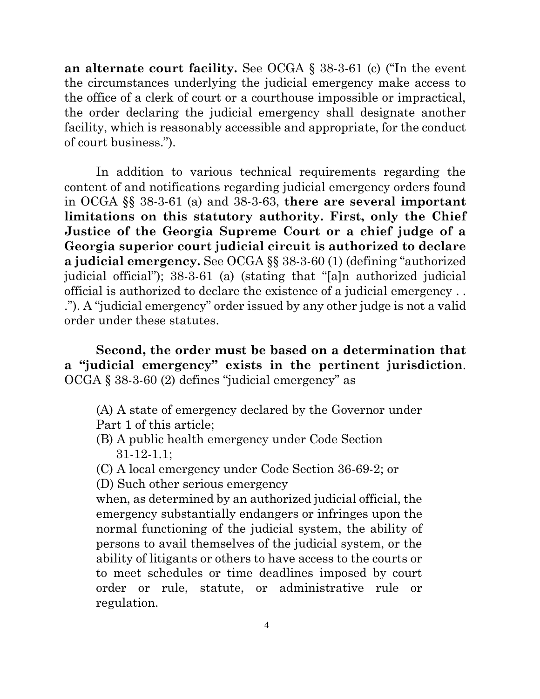**an alternate court facility.** See OCGA § 38-3-61 (c) ("In the event the circumstances underlying the judicial emergency make access to the office of a clerk of court or a courthouse impossible or impractical, the order declaring the judicial emergency shall designate another facility, which is reasonably accessible and appropriate, for the conduct of court business.").

In addition to various technical requirements regarding the content of and notifications regarding judicial emergency orders found in OCGA §§ 38-3-61 (a) and 38-3-63, **there are several important limitations on this statutory authority. First, only the Chief Justice of the Georgia Supreme Court or a chief judge of a Georgia superior court judicial circuit is authorized to declare a judicial emergency.** See OCGA §§ 38-3-60 (1) (defining "authorized judicial official"); 38-3-61 (a) (stating that "[a]n authorized judicial official is authorized to declare the existence of a judicial emergency . . ."). A "judicial emergency" order issued by any other judge is not a valid order under these statutes.

**Second, the order must be based on a determination that a "judicial emergency" exists in the pertinent jurisdiction**. OCGA § 38-3-60 (2) defines "judicial emergency" as

- (A) A state of emergency declared by the Governor under Part 1 of this article;
- (B) A public health emergency under Code Section 31-12-1.1;
- (C) A local emergency under Code Section 36-69-2; or
- (D) Such other serious emergency

when, as determined by an authorized judicial official, the emergency substantially endangers or infringes upon the normal functioning of the judicial system, the ability of persons to avail themselves of the judicial system, or the ability of litigants or others to have access to the courts or to meet schedules or time deadlines imposed by court order or rule, statute, or administrative rule or regulation.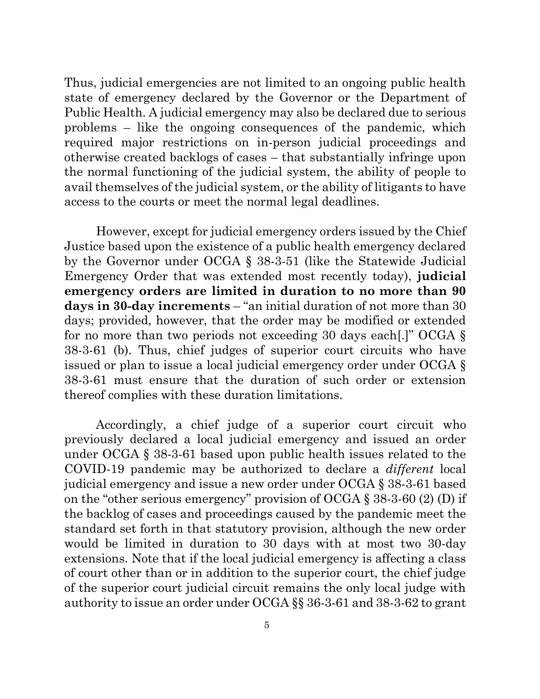Thus, judicial emergencies are not limited to an ongoing public health state of emergency declared by the Governor or the Department of Public Health. A judicial emergency may also be declared due to serious problems – like the ongoing consequences of the pandemic, which required major restrictions on in-person judicial proceedings and otherwise created backlogs of cases – that substantially infringe upon the normal functioning of the judicial system, the ability of people to avail themselves of the judicial system, or the ability of litigants to have access to the courts or meet the normal legal deadlines.

However, except for judicial emergency orders issued by the Chief Justice based upon the existence of a public health emergency declared by the Governor under OCGA § 38-3-51 (like the Statewide Judicial Emergency Order that was extended most recently today), **judicial emergency orders are limited in duration to no more than 90 days in 30-day increments** – "an initial duration of not more than 30 days; provided, however, that the order may be modified or extended for no more than two periods not exceeding 30 days each[.]" OCGA § 38-3-61 (b). Thus, chief judges of superior court circuits who have issued or plan to issue a local judicial emergency order under OCGA § 38-3-61 must ensure that the duration of such order or extension thereof complies with these duration limitations.

Accordingly, a chief judge of a superior court circuit who previously declared a local judicial emergency and issued an order under OCGA § 38-3-61 based upon public health issues related to the COVID-19 pandemic may be authorized to declare a *different* local judicial emergency and issue a new order under OCGA § 38-3-61 based on the "other serious emergency" provision of OCGA § 38-3-60 (2) (D) if the backlog of cases and proceedings caused by the pandemic meet the standard set forth in that statutory provision, although the new order would be limited in duration to 30 days with at most two 30-day extensions. Note that if the local judicial emergency is affecting a class of court other than or in addition to the superior court, the chief judge of the superior court judicial circuit remains the only local judge with authority to issue an order under OCGA §§ 36-3-61 and 38-3-62 to grant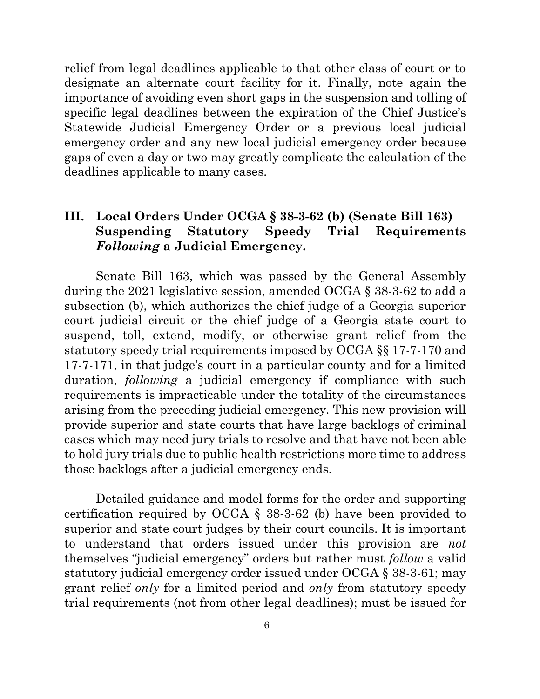relief from legal deadlines applicable to that other class of court or to designate an alternate court facility for it. Finally, note again the importance of avoiding even short gaps in the suspension and tolling of specific legal deadlines between the expiration of the Chief Justice's Statewide Judicial Emergency Order or a previous local judicial emergency order and any new local judicial emergency order because gaps of even a day or two may greatly complicate the calculation of the deadlines applicable to many cases.

## **III. Local Orders Under OCGA § 38-3-62 (b) (Senate Bill 163) Suspending Statutory Speedy Trial Requirements**  *Following* **a Judicial Emergency.**

Senate Bill 163, which was passed by the General Assembly during the 2021 legislative session, amended OCGA § 38-3-62 to add a subsection (b), which authorizes the chief judge of a Georgia superior court judicial circuit or the chief judge of a Georgia state court to suspend, toll, extend, modify, or otherwise grant relief from the statutory speedy trial requirements imposed by OCGA §§ 17-7-170 and 17-7-171, in that judge's court in a particular county and for a limited duration, *following* a judicial emergency if compliance with such requirements is impracticable under the totality of the circumstances arising from the preceding judicial emergency. This new provision will provide superior and state courts that have large backlogs of criminal cases which may need jury trials to resolve and that have not been able to hold jury trials due to public health restrictions more time to address those backlogs after a judicial emergency ends.

Detailed guidance and model forms for the order and supporting certification required by OCGA § 38-3-62 (b) have been provided to superior and state court judges by their court councils. It is important to understand that orders issued under this provision are *not* themselves "judicial emergency" orders but rather must *follow* a valid statutory judicial emergency order issued under OCGA § 38-3-61; may grant relief *only* for a limited period and *only* from statutory speedy trial requirements (not from other legal deadlines); must be issued for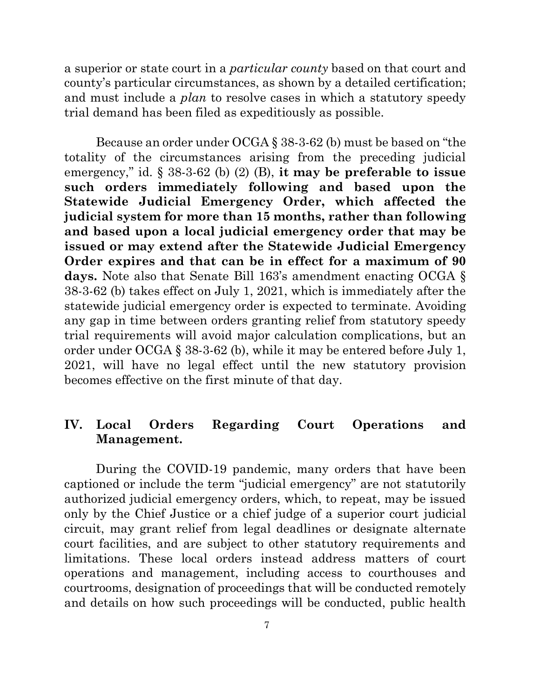a superior or state court in a *particular county* based on that court and county's particular circumstances, as shown by a detailed certification; and must include a *plan* to resolve cases in which a statutory speedy trial demand has been filed as expeditiously as possible.

Because an order under OCGA § 38-3-62 (b) must be based on "the totality of the circumstances arising from the preceding judicial emergency," id. § 38-3-62 (b) (2) (B), **it may be preferable to issue such orders immediately following and based upon the Statewide Judicial Emergency Order, which affected the judicial system for more than 15 months, rather than following and based upon a local judicial emergency order that may be issued or may extend after the Statewide Judicial Emergency Order expires and that can be in effect for a maximum of 90 days.** Note also that Senate Bill 163's amendment enacting OCGA § 38-3-62 (b) takes effect on July 1, 2021, which is immediately after the statewide judicial emergency order is expected to terminate. Avoiding any gap in time between orders granting relief from statutory speedy trial requirements will avoid major calculation complications, but an order under OCGA § 38-3-62 (b), while it may be entered before July 1, 2021, will have no legal effect until the new statutory provision becomes effective on the first minute of that day.

## **IV. Local Orders Regarding Court Operations and Management.**

During the COVID-19 pandemic, many orders that have been captioned or include the term "judicial emergency" are not statutorily authorized judicial emergency orders, which, to repeat, may be issued only by the Chief Justice or a chief judge of a superior court judicial circuit, may grant relief from legal deadlines or designate alternate court facilities, and are subject to other statutory requirements and limitations. These local orders instead address matters of court operations and management, including access to courthouses and courtrooms, designation of proceedings that will be conducted remotely and details on how such proceedings will be conducted, public health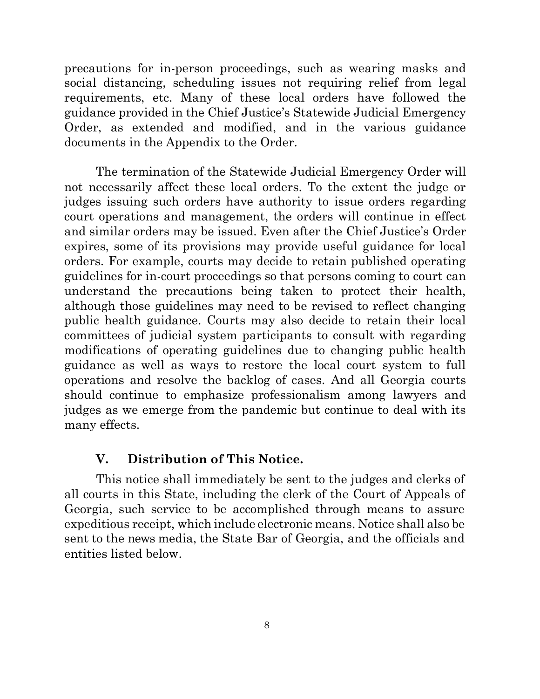precautions for in-person proceedings, such as wearing masks and social distancing, scheduling issues not requiring relief from legal requirements, etc. Many of these local orders have followed the guidance provided in the Chief Justice's Statewide Judicial Emergency Order, as extended and modified, and in the various guidance documents in the Appendix to the Order.

The termination of the Statewide Judicial Emergency Order will not necessarily affect these local orders. To the extent the judge or judges issuing such orders have authority to issue orders regarding court operations and management, the orders will continue in effect and similar orders may be issued. Even after the Chief Justice's Order expires, some of its provisions may provide useful guidance for local orders. For example, courts may decide to retain published operating guidelines for in-court proceedings so that persons coming to court can understand the precautions being taken to protect their health, although those guidelines may need to be revised to reflect changing public health guidance. Courts may also decide to retain their local committees of judicial system participants to consult with regarding modifications of operating guidelines due to changing public health guidance as well as ways to restore the local court system to full operations and resolve the backlog of cases. And all Georgia courts should continue to emphasize professionalism among lawyers and judges as we emerge from the pandemic but continue to deal with its many effects.

#### **V. Distribution of This Notice.**

This notice shall immediately be sent to the judges and clerks of all courts in this State, including the clerk of the Court of Appeals of Georgia, such service to be accomplished through means to assure expeditious receipt, which include electronic means. Notice shall also be sent to the news media, the State Bar of Georgia, and the officials and entities listed below.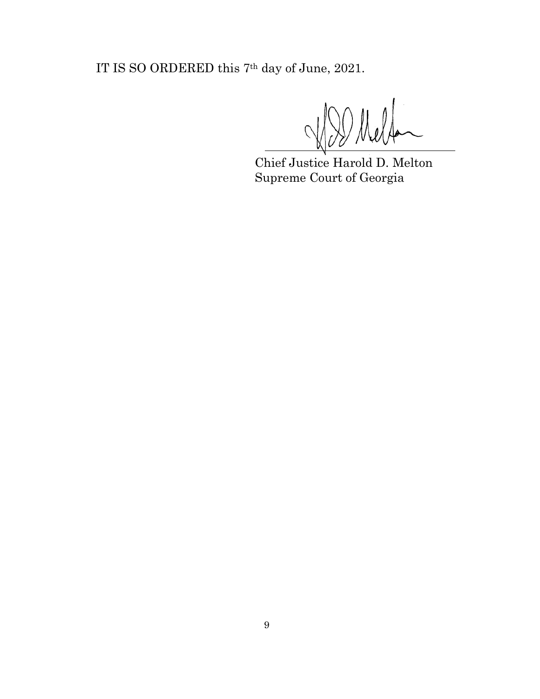IT IS SO ORDERED this 7th day of June, 2021.

Chief Justice Harold D. Melton Supreme Court of Georgia